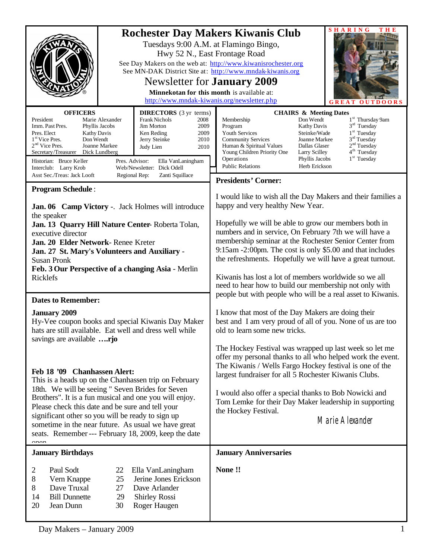| Hwy 52 N., East Frontage Road<br>Newsletter for <b>January</b> 2009<br>http://www.mndak-kiwanis.org/newsletter.php                                                                                                                                                                                                                                                                                                                                                                                                                                                                                                                                | <b>SHARING</b><br>THE<br><b>Rochester Day Makers Kiwanis Club</b><br>Tuesdays 9:00 A.M. at Flamingo Bingo,<br>See Day Makers on the web at: http://www.kiwanisrochester.org<br>See MN-DAK District Site at: http://www.mndak-kiwanis.org<br>Minnekotan for this month is available at:<br><b>DOORS</b><br>G R E                                                                                                                                                                                                                                                                           |  |
|---------------------------------------------------------------------------------------------------------------------------------------------------------------------------------------------------------------------------------------------------------------------------------------------------------------------------------------------------------------------------------------------------------------------------------------------------------------------------------------------------------------------------------------------------------------------------------------------------------------------------------------------------|-------------------------------------------------------------------------------------------------------------------------------------------------------------------------------------------------------------------------------------------------------------------------------------------------------------------------------------------------------------------------------------------------------------------------------------------------------------------------------------------------------------------------------------------------------------------------------------------|--|
| <b>OFFICERS</b><br><b>DIRECTORS</b> (3 yr terms)<br>Marie Alexander<br>President<br><b>Frank Nichols</b><br>2008<br>Imm. Past Pres.<br>Phyllis Jacobs<br><b>Jim Morton</b><br>2009<br>Pres. Elect<br>Ken Reding<br><b>Kathy Davis</b><br>2009<br>1 <sup>st</sup> Vice Pres.<br>Don Wendt<br>Jerry Steinke<br>2010<br>$2nd$ Vice Pres.<br>Joanne Markee<br>Judy Lien<br>2010<br>Dick Lundberg<br>Secretary/Treasurer<br>Historian: Bruce Keller<br>Pres. Advisor:<br>Ella VanLaningham<br>Web/Newsletter: Dick Odell<br>Interclub: Larry Krob<br>Asst Sec./Treas: Jack Looft<br>Zanti Squillace<br>Regional Rep:                                   | <b>CHAIRS &amp; Meeting Dates</b><br>1 <sup>st</sup> Thursday 9am<br>Membership<br>Don Wendt<br>$3rd$ Tuesday<br>Program<br><b>Kathy Davis</b><br>$1st$ Tuesday<br>Youth Services<br>Steinke/Wade<br>$3rd$ Tuesday<br><b>Community Services</b><br>Joanne Markee<br>2 <sup>nd</sup> Tuesday<br>Human & Spiritual Values<br>Dallas Glaser<br>4 <sup>th</sup> Tuesday<br>Young Children Priority One<br>Larry Scilley<br>$1st$ Tuesday<br>Operations<br>Phyllis Jacobs<br><b>Public Relations</b><br>Herb Erickson<br><b>Presidents' Corner:</b>                                            |  |
| <b>Program Schedule:</b><br>Jan. 06 Camp Victory -. Jack Holmes will introduce<br>the speaker<br>Jan. 13 Quarry Hill Nature Center-Roberta Tolan,<br>executive director<br>Jan. 20 Elder Network-Renee Kreter<br>Jan. 27 St. Mary's Volunteers and Auxiliary -<br><b>Susan Pronk</b><br>Feb. 3 Our Perspective of a changing Asia - Merlin<br>Ricklefs                                                                                                                                                                                                                                                                                            | I would like to wish all the Day Makers and their families a<br>happy and very healthy New Year.<br>Hopefully we will be able to grow our members both in<br>numbers and in service, On February 7th we will have a<br>membership seminar at the Rochester Senior Center from<br>9:15am -2:00pm. The cost is only \$5.00 and that includes<br>the refreshments. Hopefully we will have a great turnout.<br>Kiwanis has lost a lot of members worldwide so we all<br>need to hear how to build our membership not only with<br>people but with people who will be a real asset to Kiwanis. |  |
| <b>Dates to Remember:</b><br><b>January 2009</b><br>Hy-Vee coupon books and special Kiwanis Day Maker<br>hats are still available. Eat well and dress well while<br>savings are available rjo<br>Feb 18 '09 Chanhassen Alert:<br>This is a heads up on the Chanhassen trip on February<br>18th. We will be seeing " Seven Brides for Seven<br>Brothers". It is a fun musical and one you will enjoy.<br>Please check this date and be sure and tell your<br>significant other so you will be ready to sign up<br>sometime in the near future. As usual we have great<br>seats. Remember --- February 18, 2009, keep the date<br>$\sim$ n $\sim$ n | I know that most of the Day Makers are doing their<br>best and I am very proud of all of you. None of us are too<br>old to learn some new tricks.<br>The Hockey Festival was wrapped up last week so let me<br>offer my personal thanks to all who helped work the event.<br>The Kiwanis / Wells Fargo Hockey festival is one of the<br>largest fundraiser for all 5 Rochester Kiwanis Clubs.<br>I would also offer a special thanks to Bob Nowicki and<br>Tom Lemke for their Day Maker leadership in supporting<br>the Hockey Festival.<br>Marie Alexander                              |  |
| <b>January Birthdays</b><br>Paul Sodt<br>2<br>22<br>Ella VanLaningham<br>Jerine Jones Erickson<br>8<br>25<br>Vern Knappe<br>Dave Truxal<br>8<br>Dave Arlander<br>27<br><b>Bill Dunnette</b><br>29<br><b>Shirley Rossi</b><br>14<br>20<br>Jean Dunn<br>30<br>Roger Haugen                                                                                                                                                                                                                                                                                                                                                                          | <b>January Anniversaries</b><br>None!!                                                                                                                                                                                                                                                                                                                                                                                                                                                                                                                                                    |  |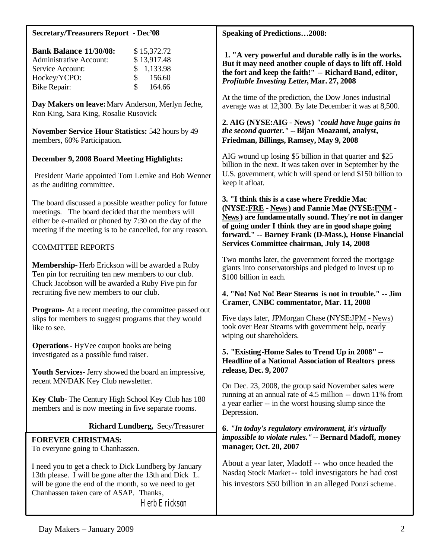#### **Secretary/Treasurers Report - Dec'08**

| <b>Bank Balance 11/30/08:</b>  |               | \$15,372.72 |
|--------------------------------|---------------|-------------|
| <b>Administrative Account:</b> |               | \$13,917.48 |
| Service Account:               |               | \$1,133.98  |
| Hockey/YCPO:                   | $\mathcal{S}$ | 156.60      |
| <b>Bike Repair:</b>            | $\mathcal{S}$ | 164.66      |

**Day Makers on leave:** Marv Anderson, Merlyn Jeche, Ron King, Sara King, Rosalie Rusovick

**November Service Hour Statistics:** 542 hours by 49 members, 60% Participation.

### **December 9, 2008 Board Meeting Highlights:**

 President Marie appointed Tom Lemke and Bob Wenner as the auditing committee.

The board discussed a possible weather policy for future meetings. The board decided that the members will either be e-mailed or phoned by 7:30 on the day of the meeting if the meeting is to be cancelled, for any reason.

### COMMITTEE REPORTS

**Membership-** Herb Erickson will be awarded a Ruby Ten pin for recruiting ten new members to our club. Chuck Jacobson will be awarded a Ruby Five pin for recruiting five new members to our club.

**Program-** At a recent meeting, the committee passed out slips for members to suggest programs that they would like to see.

**Operations-** HyVee coupon books are being investigated as a possible fund raiser.

**Youth Services-** Jerry showed the board an impressive, recent MN/DAK Key Club newsletter.

**Key Club-** The Century High School Key Club has 180 members and is now meeting in five separate rooms.

## **Richard Lundberg,** Secy/Treasurer

#### **FOREVER CHRISTMAS:**

To everyone going to Chanhassen.

I need you to get a check to Dick Lundberg by January 13th please. I will be gone after the 13th and Dick L. will be gone the end of the month, so we need to get Chanhassen taken care of ASAP. Thanks, Herb Erickson

**Speaking of Predictions…2008:**

**1. "A very powerful and durable rally is in the works. But it may need another couple of days to lift off. Hold the fort and keep the faith!" -- Richard Band, editor,**  *Profitable Investing Letter***, Mar. 27, 2008**

At the time of the prediction, the Dow Jones industrial average was at 12,300. By late December it was at 8,500.

**2. AIG (NYSE:AIG - News)** *"could have huge gains in the second quarter."* **--Bijan Moazami, analyst, Friedman, Billings, Ramsey, May 9, 2008**

AIG wound up losing \$5 billion in that quarter and \$25 billion in the next. It was taken over in September by the U.S. government, which will spend or lend \$150 billion to keep it afloat.

**3. "I think this is a case where Freddie Mac (NYSE:FRE - News) and Fannie Mae (NYSE:FNM - News) are fundamentally sound. They're not in danger of going under I think they are in good shape going forward." -- Barney Frank (D-Mass.), House Financial Services Committee chairman, July 14, 2008**

Two months later, the government forced the mortgage giants into conservatorships and pledged to invest up to \$100 billion in each.

#### **4. "No! No! No! Bear Stearns is not in trouble." -- Jim Cramer, CNBC commentator, Mar. 11, 2008**

Five days later, JPMorgan Chase (NYSE:JPM - News) took over Bear Stearns with government help, nearly wiping out shareholders.

### **5. "Existing-Home Sales to Trend Up in 2008"** -- **Headline of a National Association of Realtors press release, Dec. 9, 2007**

On Dec. 23, 2008, the group said November sales were running at an annual rate of 4.5 million -- down 11% from a year earlier -- in the worst housing slump since the Depression.

#### **6.** *"In today's regulatory environment, it's virtually impossible to violate rules."***-- Bernard Madoff, money manager, Oct. 20, 2007**

About a year later, Madoff -- who once headed the Nasdaq Stock Market-- told investigators he had cost his investors \$50 billion in an alleged Ponzi scheme.